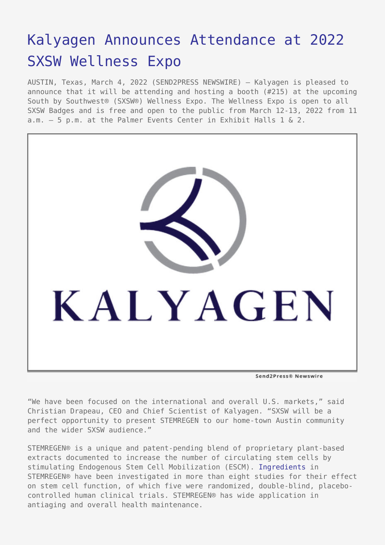# [Kalyagen Announces Attendance at 2022](https://www.send2press.com/wire/kalyagen-announces-attendance-at-2022-sxsw-wellness-expo/) [SXSW Wellness Expo](https://www.send2press.com/wire/kalyagen-announces-attendance-at-2022-sxsw-wellness-expo/)

AUSTIN, Texas, March 4, 2022 (SEND2PRESS NEWSWIRE) — Kalyagen is pleased to announce that it will be attending and hosting a booth (#215) at the upcoming South by Southwest® (SXSW®) Wellness Expo. The Wellness Expo is open to all SXSW Badges and is free and open to the public from March 12-13, 2022 from 11 a.m. – 5 p.m. at the Palmer Events Center in Exhibit Halls 1 & 2.



"We have been focused on the international and overall U.S. markets," said Christian Drapeau, CEO and Chief Scientist of Kalyagen. "SXSW will be a perfect opportunity to present STEMREGEN to our home-town Austin community and the wider SXSW audience."

STEMREGEN® is a unique and patent-pending blend of proprietary plant-based extracts documented to increase the number of circulating stem cells by stimulating Endogenous Stem Cell Mobilization (ESCM). [Ingredients](https://www.kalyagen.com/ingredients/) in STEMREGEN® have been investigated in more than eight studies for their effect on stem cell function, of which five were randomized, double-blind, placebocontrolled human clinical trials. STEMREGEN® has wide application in antiaging and overall health maintenance.